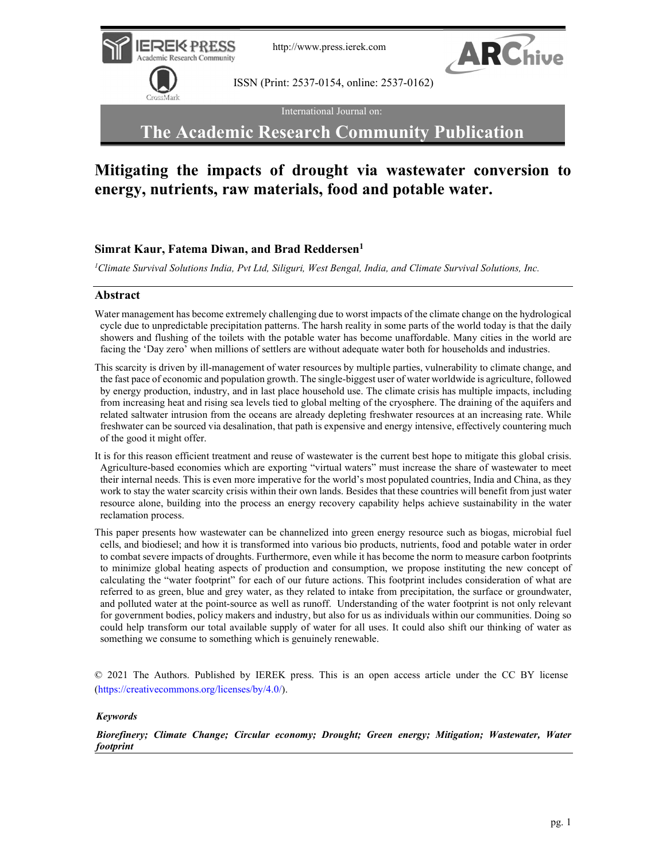

International Journal on:

# The Academic Research Community Publication

# Mitigating the impacts of drought via wastewater conversion to energy, nutrients, raw materials, food and potable water.

## Simrat Kaur, Fatema Diwan, and Brad Reddersen<sup>1</sup>

<sup>1</sup>Climate Survival Solutions India, Pvt Ltd, Siliguri, West Bengal, India, and Climate Survival Solutions, Inc.

## Abstract

- Water management has become extremely challenging due to worst impacts of the climate change on the hydrological cycle due to unpredictable precipitation patterns. The harsh reality in some parts of the world today is that the daily showers and flushing of the toilets with the potable water has become unaffordable. Many cities in the world are facing the 'Day zero' when millions of settlers are without adequate water both for households and industries.
- This scarcity is driven by ill-management of water resources by multiple parties, vulnerability to climate change, and the fast pace of economic and population growth. The single-biggest user of water worldwide is agriculture, followed by energy production, industry, and in last place household use. The climate crisis has multiple impacts, including from increasing heat and rising sea levels tied to global melting of the cryosphere. The draining of the aquifers and related saltwater intrusion from the oceans are already depleting freshwater resources at an increasing rate. While freshwater can be sourced via desalination, that path is expensive and energy intensive, effectively countering much of the good it might offer.
- It is for this reason efficient treatment and reuse of wastewater is the current best hope to mitigate this global crisis. Agriculture-based economies which are exporting "virtual waters" must increase the share of wastewater to meet their internal needs. This is even more imperative for the world's most populated countries, India and China, as they work to stay the water scarcity crisis within their own lands. Besides that these countries will benefit from just water resource alone, building into the process an energy recovery capability helps achieve sustainability in the water reclamation process.
- This paper presents how wastewater can be channelized into green energy resource such as biogas, microbial fuel cells, and biodiesel; and how it is transformed into various bio products, nutrients, food and potable water in order to combat severe impacts of droughts. Furthermore, even while it has become the norm to measure carbon footprints to minimize global heating aspects of production and consumption, we propose instituting the new concept of calculating the "water footprint" for each of our future actions. This footprint includes consideration of what are referred to as green, blue and grey water, as they related to intake from precipitation, the surface or groundwater, and polluted water at the point-source as well as runoff. Understanding of the water footprint is not only relevant for government bodies, policy makers and industry, but also for us as individuals within our communities. Doing so could help transform our total available supply of water for all uses. It could also shift our thinking of water as something we consume to something which is genuinely renewable.

© 2021 The Authors. Published by IEREK press. This is an open access article under the CC BY license (https://creativecommons.org/licenses/by/4.0/).

## Keywords

Biorefinery; Climate Change; Circular economy; Drought; Green energy; Mitigation; Wastewater, Water footprint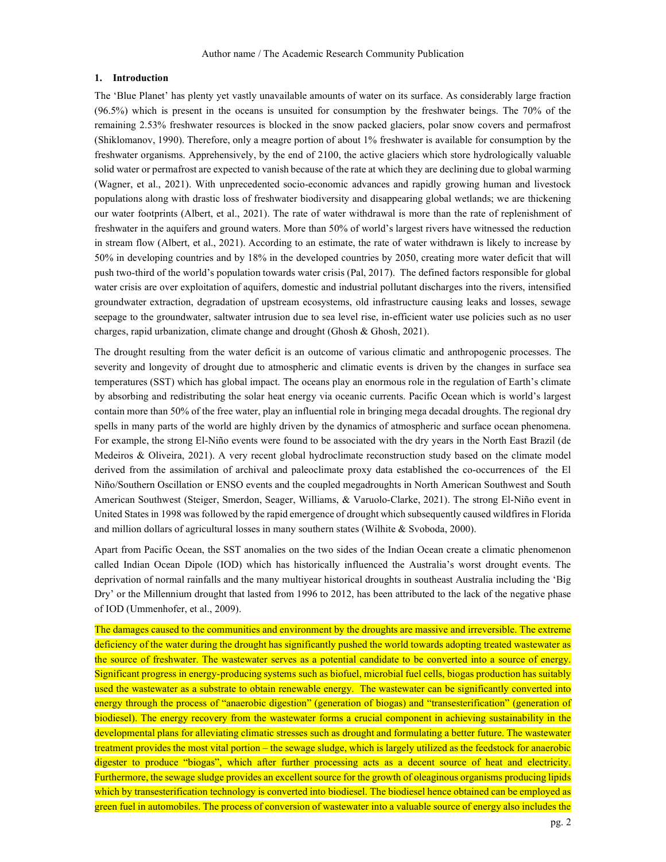## 1. Introduction

The 'Blue Planet' has plenty yet vastly unavailable amounts of water on its surface. As considerably large fraction (96.5%) which is present in the oceans is unsuited for consumption by the freshwater beings. The 70% of the remaining 2.53% freshwater resources is blocked in the snow packed glaciers, polar snow covers and permafrost (Shiklomanov, 1990). Therefore, only a meagre portion of about 1% freshwater is available for consumption by the freshwater organisms. Apprehensively, by the end of 2100, the active glaciers which store hydrologically valuable solid water or permafrost are expected to vanish because of the rate at which they are declining due to global warming (Wagner, et al., 2021). With unprecedented socio-economic advances and rapidly growing human and livestock populations along with drastic loss of freshwater biodiversity and disappearing global wetlands; we are thickening our water footprints (Albert, et al., 2021). The rate of water withdrawal is more than the rate of replenishment of freshwater in the aquifers and ground waters. More than 50% of world's largest rivers have witnessed the reduction in stream flow (Albert, et al., 2021). According to an estimate, the rate of water withdrawn is likely to increase by 50% in developing countries and by 18% in the developed countries by 2050, creating more water deficit that will push two-third of the world's population towards water crisis (Pal, 2017). The defined factors responsible for global water crisis are over exploitation of aquifers, domestic and industrial pollutant discharges into the rivers, intensified groundwater extraction, degradation of upstream ecosystems, old infrastructure causing leaks and losses, sewage seepage to the groundwater, saltwater intrusion due to sea level rise, in-efficient water use policies such as no user charges, rapid urbanization, climate change and drought (Ghosh & Ghosh, 2021).

The drought resulting from the water deficit is an outcome of various climatic and anthropogenic processes. The severity and longevity of drought due to atmospheric and climatic events is driven by the changes in surface sea temperatures (SST) which has global impact. The oceans play an enormous role in the regulation of Earth's climate by absorbing and redistributing the solar heat energy via oceanic currents. Pacific Ocean which is world's largest contain more than 50% of the free water, play an influential role in bringing mega decadal droughts. The regional dry spells in many parts of the world are highly driven by the dynamics of atmospheric and surface ocean phenomena. For example, the strong El-Niño events were found to be associated with the dry years in the North East Brazil (de Medeiros & Oliveira, 2021). A very recent global hydroclimate reconstruction study based on the climate model derived from the assimilation of archival and paleoclimate proxy data established the co-occurrences of the El Niño/Southern Oscillation or ENSO events and the coupled megadroughts in North American Southwest and South American Southwest (Steiger, Smerdon, Seager, Williams, & Varuolo-Clarke, 2021). The strong El-Niño event in United States in 1998 was followed by the rapid emergence of drought which subsequently caused wildfires in Florida and million dollars of agricultural losses in many southern states (Wilhite & Svoboda, 2000).

Apart from Pacific Ocean, the SST anomalies on the two sides of the Indian Ocean create a climatic phenomenon called Indian Ocean Dipole (IOD) which has historically influenced the Australia's worst drought events. The deprivation of normal rainfalls and the many multiyear historical droughts in southeast Australia including the 'Big Dry' or the Millennium drought that lasted from 1996 to 2012, has been attributed to the lack of the negative phase of IOD (Ummenhofer, et al., 2009).

The damages caused to the communities and environment by the droughts are massive and irreversible. The extreme deficiency of the water during the drought has significantly pushed the world towards adopting treated wastewater as the source of freshwater. The wastewater serves as a potential candidate to be converted into a source of energy. Significant progress in energy-producing systems such as biofuel, microbial fuel cells, biogas production has suitably used the wastewater as a substrate to obtain renewable energy. The wastewater can be significantly converted into energy through the process of "anaerobic digestion" (generation of biogas) and "transesterification" (generation of biodiesel). The energy recovery from the wastewater forms a crucial component in achieving sustainability in the developmental plans for alleviating climatic stresses such as drought and formulating a better future. The wastewater treatment provides the most vital portion – the sewage sludge, which is largely utilized as the feedstock for anaerobic digester to produce "biogas", which after further processing acts as a decent source of heat and electricity. Furthermore, the sewage sludge provides an excellent source for the growth of oleaginous organisms producing lipids which by transesterification technology is converted into biodiesel. The biodiesel hence obtained can be employed as green fuel in automobiles. The process of conversion of wastewater into a valuable source of energy also includes the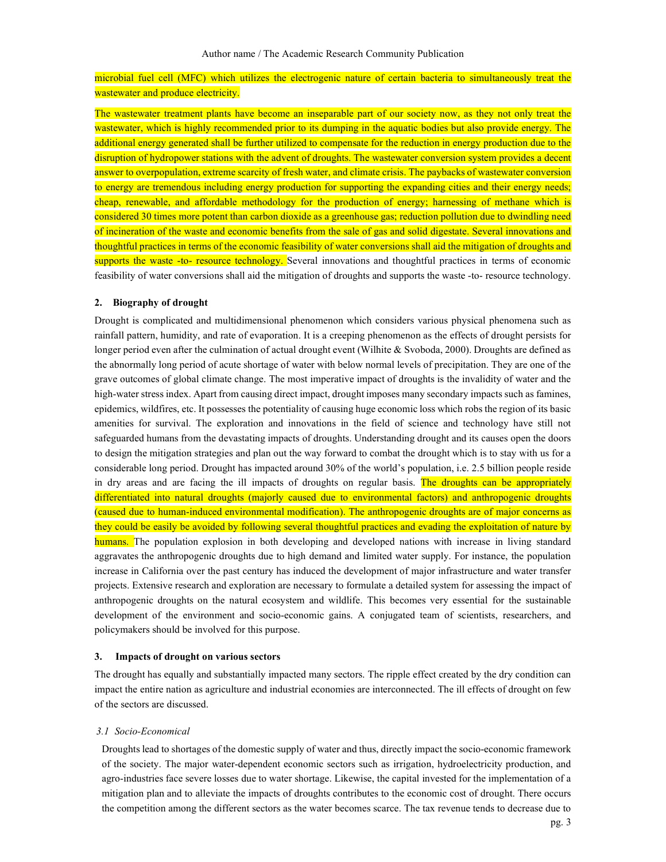## microbial fuel cell (MFC) which utilizes the electrogenic nature of certain bacteria to simultaneously treat the wastewater and produce electricity.

The wastewater treatment plants have become an inseparable part of our society now, as they not only treat the wastewater, which is highly recommended prior to its dumping in the aquatic bodies but also provide energy. The additional energy generated shall be further utilized to compensate for the reduction in energy production due to the disruption of hydropower stations with the advent of droughts. The wastewater conversion system provides a decent answer to overpopulation, extreme scarcity of fresh water, and climate crisis. The paybacks of wastewater conversion to energy are tremendous including energy production for supporting the expanding cities and their energy needs; cheap, renewable, and affordable methodology for the production of energy; harnessing of methane which is considered 30 times more potent than carbon dioxide as a greenhouse gas; reduction pollution due to dwindling need of incineration of the waste and economic benefits from the sale of gas and solid digestate. Several innovations and thoughtful practices in terms of the economic feasibility of water conversions shall aid the mitigation of droughts and supports the waste -to- resource technology. Several innovations and thoughtful practices in terms of economic feasibility of water conversions shall aid the mitigation of droughts and supports the waste -to- resource technology.

#### 2. Biography of drought

Drought is complicated and multidimensional phenomenon which considers various physical phenomena such as rainfall pattern, humidity, and rate of evaporation. It is a creeping phenomenon as the effects of drought persists for longer period even after the culmination of actual drought event (Wilhite & Svoboda, 2000). Droughts are defined as the abnormally long period of acute shortage of water with below normal levels of precipitation. They are one of the grave outcomes of global climate change. The most imperative impact of droughts is the invalidity of water and the high-water stress index. Apart from causing direct impact, drought imposes many secondary impacts such as famines, epidemics, wildfires, etc. It possesses the potentiality of causing huge economic loss which robs the region of its basic amenities for survival. The exploration and innovations in the field of science and technology have still not safeguarded humans from the devastating impacts of droughts. Understanding drought and its causes open the doors to design the mitigation strategies and plan out the way forward to combat the drought which is to stay with us for a considerable long period. Drought has impacted around 30% of the world's population, i.e. 2.5 billion people reside in dry areas and are facing the ill impacts of droughts on regular basis. The droughts can be appropriately differentiated into natural droughts (majorly caused due to environmental factors) and anthropogenic droughts (caused due to human-induced environmental modification). The anthropogenic droughts are of major concerns as they could be easily be avoided by following several thoughtful practices and evading the exploitation of nature by humans. The population explosion in both developing and developed nations with increase in living standard aggravates the anthropogenic droughts due to high demand and limited water supply. For instance, the population increase in California over the past century has induced the development of major infrastructure and water transfer projects. Extensive research and exploration are necessary to formulate a detailed system for assessing the impact of anthropogenic droughts on the natural ecosystem and wildlife. This becomes very essential for the sustainable development of the environment and socio-economic gains. A conjugated team of scientists, researchers, and policymakers should be involved for this purpose.

## 3. Impacts of drought on various sectors

The drought has equally and substantially impacted many sectors. The ripple effect created by the dry condition can impact the entire nation as agriculture and industrial economies are interconnected. The ill effects of drought on few of the sectors are discussed.

## 3.1 Socio-Economical

Droughts lead to shortages of the domestic supply of water and thus, directly impact the socio-economic framework of the society. The major water-dependent economic sectors such as irrigation, hydroelectricity production, and agro-industries face severe losses due to water shortage. Likewise, the capital invested for the implementation of a mitigation plan and to alleviate the impacts of droughts contributes to the economic cost of drought. There occurs the competition among the different sectors as the water becomes scarce. The tax revenue tends to decrease due to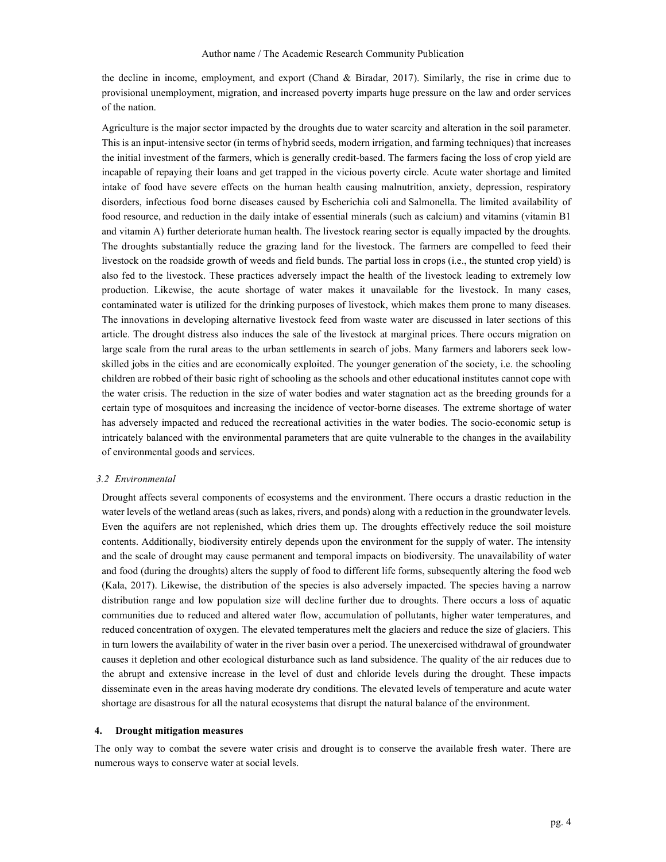the decline in income, employment, and export (Chand & Biradar, 2017). Similarly, the rise in crime due to provisional unemployment, migration, and increased poverty imparts huge pressure on the law and order services of the nation.

Agriculture is the major sector impacted by the droughts due to water scarcity and alteration in the soil parameter. This is an input-intensive sector (in terms of hybrid seeds, modern irrigation, and farming techniques) that increases the initial investment of the farmers, which is generally credit-based. The farmers facing the loss of crop yield are incapable of repaying their loans and get trapped in the vicious poverty circle. Acute water shortage and limited intake of food have severe effects on the human health causing malnutrition, anxiety, depression, respiratory disorders, infectious food borne diseases caused by Escherichia coli and Salmonella. The limited availability of food resource, and reduction in the daily intake of essential minerals (such as calcium) and vitamins (vitamin B1 and vitamin A) further deteriorate human health. The livestock rearing sector is equally impacted by the droughts. The droughts substantially reduce the grazing land for the livestock. The farmers are compelled to feed their livestock on the roadside growth of weeds and field bunds. The partial loss in crops (i.e., the stunted crop yield) is also fed to the livestock. These practices adversely impact the health of the livestock leading to extremely low production. Likewise, the acute shortage of water makes it unavailable for the livestock. In many cases, contaminated water is utilized for the drinking purposes of livestock, which makes them prone to many diseases. The innovations in developing alternative livestock feed from waste water are discussed in later sections of this article. The drought distress also induces the sale of the livestock at marginal prices. There occurs migration on large scale from the rural areas to the urban settlements in search of jobs. Many farmers and laborers seek lowskilled jobs in the cities and are economically exploited. The younger generation of the society, i.e. the schooling children are robbed of their basic right of schooling as the schools and other educational institutes cannot cope with the water crisis. The reduction in the size of water bodies and water stagnation act as the breeding grounds for a certain type of mosquitoes and increasing the incidence of vector-borne diseases. The extreme shortage of water has adversely impacted and reduced the recreational activities in the water bodies. The socio-economic setup is intricately balanced with the environmental parameters that are quite vulnerable to the changes in the availability of environmental goods and services.

#### 3.2 Environmental

Drought affects several components of ecosystems and the environment. There occurs a drastic reduction in the water levels of the wetland areas (such as lakes, rivers, and ponds) along with a reduction in the groundwater levels. Even the aquifers are not replenished, which dries them up. The droughts effectively reduce the soil moisture contents. Additionally, biodiversity entirely depends upon the environment for the supply of water. The intensity and the scale of drought may cause permanent and temporal impacts on biodiversity. The unavailability of water and food (during the droughts) alters the supply of food to different life forms, subsequently altering the food web (Kala, 2017). Likewise, the distribution of the species is also adversely impacted. The species having a narrow distribution range and low population size will decline further due to droughts. There occurs a loss of aquatic communities due to reduced and altered water flow, accumulation of pollutants, higher water temperatures, and reduced concentration of oxygen. The elevated temperatures melt the glaciers and reduce the size of glaciers. This in turn lowers the availability of water in the river basin over a period. The unexercised withdrawal of groundwater causes it depletion and other ecological disturbance such as land subsidence. The quality of the air reduces due to the abrupt and extensive increase in the level of dust and chloride levels during the drought. These impacts disseminate even in the areas having moderate dry conditions. The elevated levels of temperature and acute water shortage are disastrous for all the natural ecosystems that disrupt the natural balance of the environment.

#### 4. Drought mitigation measures

The only way to combat the severe water crisis and drought is to conserve the available fresh water. There are numerous ways to conserve water at social levels.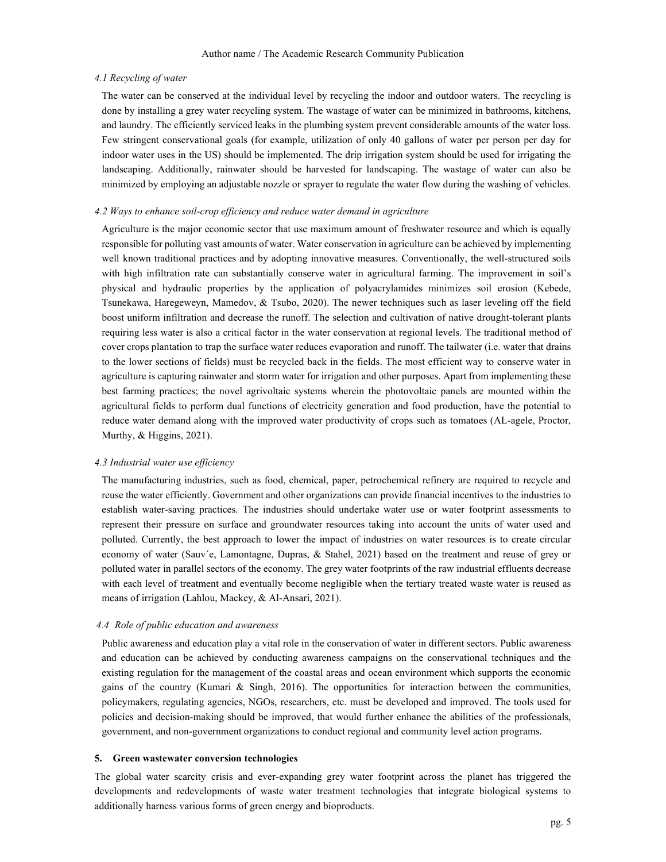## 4.1 Recycling of water

The water can be conserved at the individual level by recycling the indoor and outdoor waters. The recycling is done by installing a grey water recycling system. The wastage of water can be minimized in bathrooms, kitchens, and laundry. The efficiently serviced leaks in the plumbing system prevent considerable amounts of the water loss. Few stringent conservational goals (for example, utilization of only 40 gallons of water per person per day for indoor water uses in the US) should be implemented. The drip irrigation system should be used for irrigating the landscaping. Additionally, rainwater should be harvested for landscaping. The wastage of water can also be minimized by employing an adjustable nozzle or sprayer to regulate the water flow during the washing of vehicles.

#### 4.2 Ways to enhance soil-crop efficiency and reduce water demand in agriculture

Agriculture is the major economic sector that use maximum amount of freshwater resource and which is equally responsible for polluting vast amounts of water. Water conservation in agriculture can be achieved by implementing well known traditional practices and by adopting innovative measures. Conventionally, the well-structured soils with high infiltration rate can substantially conserve water in agricultural farming. The improvement in soil's physical and hydraulic properties by the application of polyacrylamides minimizes soil erosion (Kebede, Tsunekawa, Haregeweyn, Mamedov, & Tsubo, 2020). The newer techniques such as laser leveling off the field boost uniform infiltration and decrease the runoff. The selection and cultivation of native drought-tolerant plants requiring less water is also a critical factor in the water conservation at regional levels. The traditional method of cover crops plantation to trap the surface water reduces evaporation and runoff. The tailwater (i.e. water that drains to the lower sections of fields) must be recycled back in the fields. The most efficient way to conserve water in agriculture is capturing rainwater and storm water for irrigation and other purposes. Apart from implementing these best farming practices; the novel agrivoltaic systems wherein the photovoltaic panels are mounted within the agricultural fields to perform dual functions of electricity generation and food production, have the potential to reduce water demand along with the improved water productivity of crops such as tomatoes (AL-agele, Proctor, Murthy, & Higgins, 2021).

#### 4.3 Industrial water use efficiency

The manufacturing industries, such as food, chemical, paper, petrochemical refinery are required to recycle and reuse the water efficiently. Government and other organizations can provide financial incentives to the industries to establish water-saving practices. The industries should undertake water use or water footprint assessments to represent their pressure on surface and groundwater resources taking into account the units of water used and polluted. Currently, the best approach to lower the impact of industries on water resources is to create circular economy of water (Sauv´e, Lamontagne, Dupras, & Stahel, 2021) based on the treatment and reuse of grey or polluted water in parallel sectors of the economy. The grey water footprints of the raw industrial effluents decrease with each level of treatment and eventually become negligible when the tertiary treated waste water is reused as means of irrigation (Lahlou, Mackey, & Al-Ansari, 2021).

#### 4.4 Role of public education and awareness

Public awareness and education play a vital role in the conservation of water in different sectors. Public awareness and education can be achieved by conducting awareness campaigns on the conservational techniques and the existing regulation for the management of the coastal areas and ocean environment which supports the economic gains of the country (Kumari & Singh, 2016). The opportunities for interaction between the communities, policymakers, regulating agencies, NGOs, researchers, etc. must be developed and improved. The tools used for policies and decision-making should be improved, that would further enhance the abilities of the professionals, government, and non-government organizations to conduct regional and community level action programs.

## 5. Green wastewater conversion technologies

The global water scarcity crisis and ever-expanding grey water footprint across the planet has triggered the developments and redevelopments of waste water treatment technologies that integrate biological systems to additionally harness various forms of green energy and bioproducts.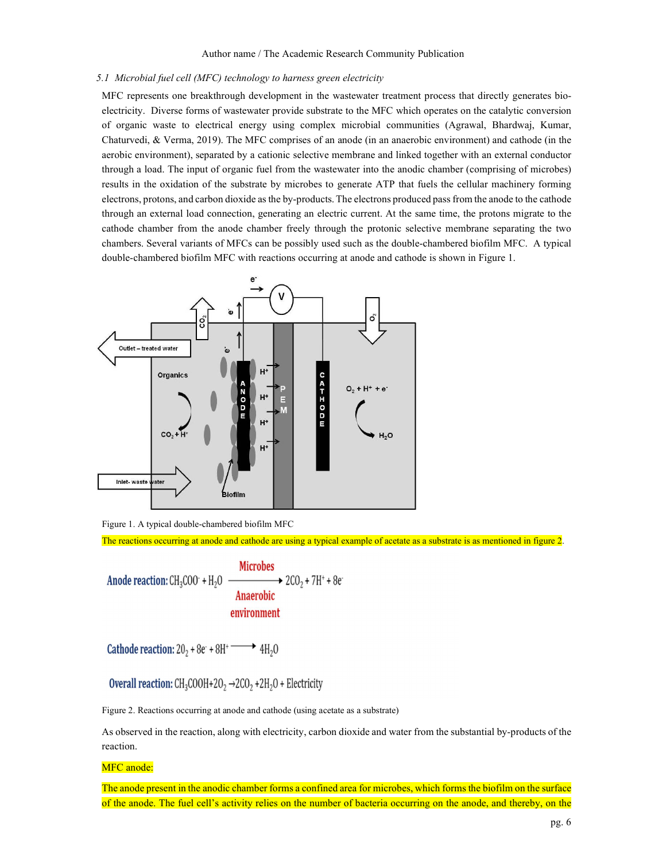## 5.1 Microbial fuel cell (MFC) technology to harness green electricity

MFC represents one breakthrough development in the wastewater treatment process that directly generates bioelectricity. Diverse forms of wastewater provide substrate to the MFC which operates on the catalytic conversion of organic waste to electrical energy using complex microbial communities (Agrawal, Bhardwaj, Kumar, Chaturvedi, & Verma, 2019). The MFC comprises of an anode (in an anaerobic environment) and cathode (in the aerobic environment), separated by a cationic selective membrane and linked together with an external conductor through a load. The input of organic fuel from the wastewater into the anodic chamber (comprising of microbes) results in the oxidation of the substrate by microbes to generate ATP that fuels the cellular machinery forming electrons, protons, and carbon dioxide as the by-products. The electrons produced pass from the anode to the cathode through an external load connection, generating an electric current. At the same time, the protons migrate to the cathode chamber from the anode chamber freely through the protonic selective membrane separating the two chambers. Several variants of MFCs can be possibly used such as the double-chambered biofilm MFC. A typical double-chambered biofilm MFC with reactions occurring at anode and cathode is shown in Figure 1.



Figure 1. A typical double-chambered biofilm MFC

The reactions occurring at anode and cathode are using a typical example of acetate as a substrate is as mentioned in figure 2.

Anode reaction: CH<sub>3</sub>COO + H<sub>2</sub>O  $\xrightarrow{\text{Microbes}}$  2CO<sub>2</sub> + 7H<sup>+</sup> + 8e **Anaerobic** environment

Cathode reaction:  $20_2 + 8e^+ + 8H^+ \longrightarrow 4H_2O$ 

Overall reaction:  $CH_3COOH+2O_2 \rightarrow 2CO_2 + 2H_2O$  + Electricity

Figure 2. Reactions occurring at anode and cathode (using acetate as a substrate)

As observed in the reaction, along with electricity, carbon dioxide and water from the substantial by-products of the reaction.

MFC anode:

The anode present in the anodic chamber forms a confined area for microbes, which forms the biofilm on the surface of the anode. The fuel cell's activity relies on the number of bacteria occurring on the anode, and thereby, on the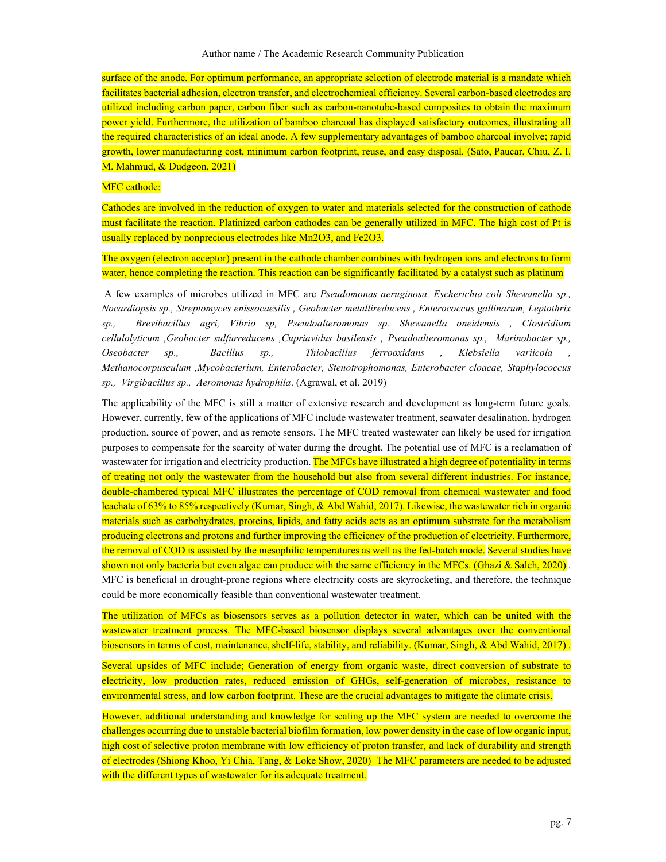surface of the anode. For optimum performance, an appropriate selection of electrode material is a mandate which facilitates bacterial adhesion, electron transfer, and electrochemical efficiency. Several carbon-based electrodes are utilized including carbon paper, carbon fiber such as carbon-nanotube-based composites to obtain the maximum power yield. Furthermore, the utilization of bamboo charcoal has displayed satisfactory outcomes, illustrating all the required characteristics of an ideal anode. A few supplementary advantages of bamboo charcoal involve; rapid growth, lower manufacturing cost, minimum carbon footprint, reuse, and easy disposal. (Sato, Paucar, Chiu, Z. I. M. Mahmud, & Dudgeon, 2021)

## MFC cathode:

Cathodes are involved in the reduction of oxygen to water and materials selected for the construction of cathode must facilitate the reaction. Platinized carbon cathodes can be generally utilized in MFC. The high cost of Pt is usually replaced by nonprecious electrodes like Mn2O3, and Fe2O3.

The oxygen (electron acceptor) present in the cathode chamber combines with hydrogen ions and electrons to form water, hence completing the reaction. This reaction can be significantly facilitated by a catalyst such as platinum

 A few examples of microbes utilized in MFC are Pseudomonas aeruginosa, Escherichia coli Shewanella sp., Nocardiopsis sp., Streptomyces enissocaesilis , Geobacter metallireducens , Enterococcus gallinarum, Leptothrix sp., Brevibacillus agri, Vibrio sp, Pseudoalteromonas sp. Shewanella oneidensis , Clostridium cellulolyticum ,Geobacter sulfurreducens ,Cupriavidus basilensis , Pseudoalteromonas sp., Marinobacter sp., Oseobacter sp., Bacillus sp., Thiobacillus ferrooxidans , Klebsiella variicola , Methanocorpusculum ,Mycobacterium, Enterobacter, Stenotrophomonas, Enterobacter cloacae, Staphylococcus sp., Virgibacillus sp., Aeromonas hydrophila. (Agrawal, et al. 2019)

The applicability of the MFC is still a matter of extensive research and development as long-term future goals. However, currently, few of the applications of MFC include wastewater treatment, seawater desalination, hydrogen production, source of power, and as remote sensors. The MFC treated wastewater can likely be used for irrigation purposes to compensate for the scarcity of water during the drought. The potential use of MFC is a reclamation of wastewater for irrigation and electricity production. The MFCs have illustrated a high degree of potentiality in terms of treating not only the wastewater from the household but also from several different industries. For instance, double-chambered typical MFC illustrates the percentage of COD removal from chemical wastewater and food leachate of 63% to 85% respectively (Kumar, Singh, & Abd Wahid, 2017). Likewise, the wastewater rich in organic materials such as carbohydrates, proteins, lipids, and fatty acids acts as an optimum substrate for the metabolism producing electrons and protons and further improving the efficiency of the production of electricity. Furthermore, the removal of COD is assisted by the mesophilic temperatures as well as the fed-batch mode. Several studies have shown not only bacteria but even algae can produce with the same efficiency in the MFCs. (Ghazi & Saleh, 2020). MFC is beneficial in drought-prone regions where electricity costs are skyrocketing, and therefore, the technique could be more economically feasible than conventional wastewater treatment.

The utilization of MFCs as biosensors serves as a pollution detector in water, which can be united with the wastewater treatment process. The MFC-based biosensor displays several advantages over the conventional biosensors in terms of cost, maintenance, shelf-life, stability, and reliability. (Kumar, Singh, & Abd Wahid, 2017) .

Several upsides of MFC include; Generation of energy from organic waste, direct conversion of substrate to electricity, low production rates, reduced emission of GHGs, self-generation of microbes, resistance to environmental stress, and low carbon footprint. These are the crucial advantages to mitigate the climate crisis.

However, additional understanding and knowledge for scaling up the MFC system are needed to overcome the challenges occurring due to unstable bacterial biofilm formation, low power density in the case of low organic input, high cost of selective proton membrane with low efficiency of proton transfer, and lack of durability and strength of electrodes (Shiong Khoo, Yi Chia, Tang, & Loke Show, 2020) The MFC parameters are needed to be adjusted with the different types of wastewater for its adequate treatment.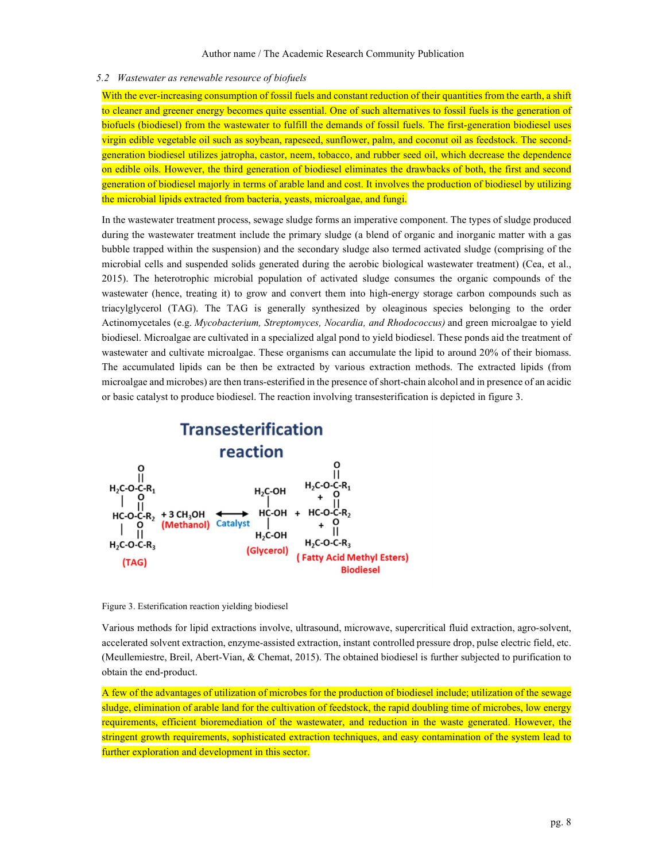### 5.2 Wastewater as renewable resource of biofuels

With the ever-increasing consumption of fossil fuels and constant reduction of their quantities from the earth, a shift to cleaner and greener energy becomes quite essential. One of such alternatives to fossil fuels is the generation of biofuels (biodiesel) from the wastewater to fulfill the demands of fossil fuels. The first-generation biodiesel uses virgin edible vegetable oil such as soybean, rapeseed, sunflower, palm, and coconut oil as feedstock. The secondgeneration biodiesel utilizes jatropha, castor, neem, tobacco, and rubber seed oil, which decrease the dependence on edible oils. However, the third generation of biodiesel eliminates the drawbacks of both, the first and second generation of biodiesel majorly in terms of arable land and cost. It involves the production of biodiesel by utilizing the microbial lipids extracted from bacteria, yeasts, microalgae, and fungi.

In the wastewater treatment process, sewage sludge forms an imperative component. The types of sludge produced during the wastewater treatment include the primary sludge (a blend of organic and inorganic matter with a gas bubble trapped within the suspension) and the secondary sludge also termed activated sludge (comprising of the microbial cells and suspended solids generated during the aerobic biological wastewater treatment) (Cea, et al., 2015). The heterotrophic microbial population of activated sludge consumes the organic compounds of the wastewater (hence, treating it) to grow and convert them into high-energy storage carbon compounds such as triacylglycerol (TAG). The TAG is generally synthesized by oleaginous species belonging to the order Actinomycetales (e.g. Mycobacterium, Streptomyces, Nocardia, and Rhodococcus) and green microalgae to yield biodiesel. Microalgae are cultivated in a specialized algal pond to yield biodiesel. These ponds aid the treatment of wastewater and cultivate microalgae. These organisms can accumulate the lipid to around 20% of their biomass. The accumulated lipids can be then be extracted by various extraction methods. The extracted lipids (from microalgae and microbes) are then trans-esterified in the presence of short-chain alcohol and in presence of an acidic or basic catalyst to produce biodiesel. The reaction involving transesterification is depicted in figure 3.



Figure 3. Esterification reaction yielding biodiesel

Various methods for lipid extractions involve, ultrasound, microwave, supercritical fluid extraction, agro-solvent, accelerated solvent extraction, enzyme-assisted extraction, instant controlled pressure drop, pulse electric field, etc. (Meullemiestre, Breil, Abert-Vian, & Chemat, 2015). The obtained biodiesel is further subjected to purification to obtain the end-product.

A few of the advantages of utilization of microbes for the production of biodiesel include; utilization of the sewage sludge, elimination of arable land for the cultivation of feedstock, the rapid doubling time of microbes, low energy requirements, efficient bioremediation of the wastewater, and reduction in the waste generated. However, the stringent growth requirements, sophisticated extraction techniques, and easy contamination of the system lead to further exploration and development in this sector.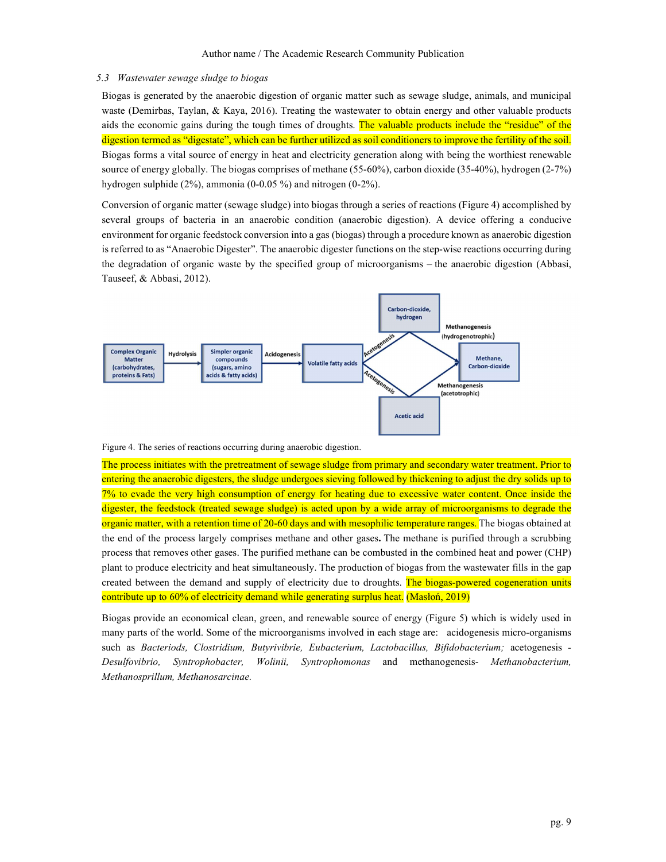## 5.3 Wastewater sewage sludge to biogas

Biogas is generated by the anaerobic digestion of organic matter such as sewage sludge, animals, and municipal waste (Demirbas, Taylan, & Kaya, 2016). Treating the wastewater to obtain energy and other valuable products aids the economic gains during the tough times of droughts. The valuable products include the "residue" of the digestion termed as "digestate", which can be further utilized as soil conditioners to improve the fertility of the soil. Biogas forms a vital source of energy in heat and electricity generation along with being the worthiest renewable source of energy globally. The biogas comprises of methane (55-60%), carbon dioxide (35-40%), hydrogen (2-7%) hydrogen sulphide (2%), ammonia (0-0.05 %) and nitrogen (0-2%).

Conversion of organic matter (sewage sludge) into biogas through a series of reactions (Figure 4) accomplished by several groups of bacteria in an anaerobic condition (anaerobic digestion). A device offering a conducive environment for organic feedstock conversion into a gas (biogas) through a procedure known as anaerobic digestion is referred to as "Anaerobic Digester". The anaerobic digester functions on the step-wise reactions occurring during the degradation of organic waste by the specified group of microorganisms – the anaerobic digestion (Abbasi, Tauseef, & Abbasi, 2012).



Figure 4. The series of reactions occurring during anaerobic digestion.

The process initiates with the pretreatment of sewage sludge from primary and secondary water treatment. Prior to entering the anaerobic digesters, the sludge undergoes sieving followed by thickening to adjust the dry solids up to 7% to evade the very high consumption of energy for heating due to excessive water content. Once inside the digester, the feedstock (treated sewage sludge) is acted upon by a wide array of microorganisms to degrade the organic matter, with a retention time of 20-60 days and with mesophilic temperature ranges. The biogas obtained at the end of the process largely comprises methane and other gases. The methane is purified through a scrubbing process that removes other gases. The purified methane can be combusted in the combined heat and power (CHP) plant to produce electricity and heat simultaneously. The production of biogas from the wastewater fills in the gap created between the demand and supply of electricity due to droughts. The biogas-powered cogeneration units contribute up to 60% of electricity demand while generating surplus heat. (Masłoń, 2019)

Biogas provide an economical clean, green, and renewable source of energy (Figure 5) which is widely used in many parts of the world. Some of the microorganisms involved in each stage are: acidogenesis micro-organisms such as Bacteriods, Clostridium, Butyrivibrie, Eubacterium, Lactobacillus, Bifidobacterium; acetogenesis -<br>Desulfovibrio, Syntrophobacter, Wolinii, Syntrophomonas and methanogenesis- Methanobacterium, Methanosprillum, Methanosarcinae.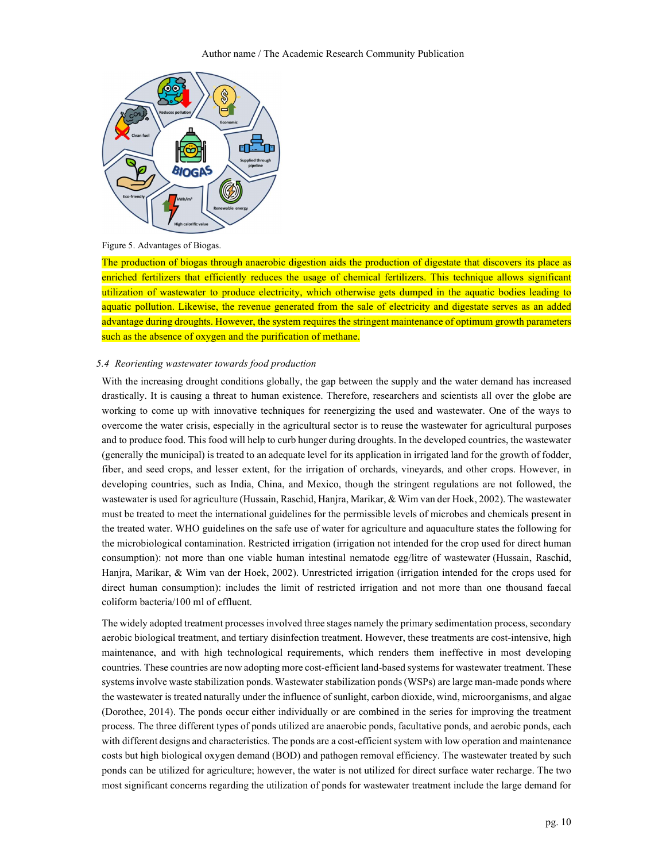

Figure 5. Advantages of Biogas.

The production of biogas through anaerobic digestion aids the production of digestate that discovers its place as enriched fertilizers that efficiently reduces the usage of chemical fertilizers. This technique allows significant utilization of wastewater to produce electricity, which otherwise gets dumped in the aquatic bodies leading to aquatic pollution. Likewise, the revenue generated from the sale of electricity and digestate serves as an added advantage during droughts. However, the system requires the stringent maintenance of optimum growth parameters such as the absence of oxygen and the purification of methane.

#### 5.4 Reorienting wastewater towards food production

With the increasing drought conditions globally, the gap between the supply and the water demand has increased drastically. It is causing a threat to human existence. Therefore, researchers and scientists all over the globe are working to come up with innovative techniques for reenergizing the used and wastewater. One of the ways to overcome the water crisis, especially in the agricultural sector is to reuse the wastewater for agricultural purposes and to produce food. This food will help to curb hunger during droughts. In the developed countries, the wastewater (generally the municipal) is treated to an adequate level for its application in irrigated land for the growth of fodder, fiber, and seed crops, and lesser extent, for the irrigation of orchards, vineyards, and other crops. However, in developing countries, such as India, China, and Mexico, though the stringent regulations are not followed, the wastewater is used for agriculture (Hussain, Raschid, Hanjra, Marikar, & Wim van der Hoek, 2002). The wastewater must be treated to meet the international guidelines for the permissible levels of microbes and chemicals present in the treated water. WHO guidelines on the safe use of water for agriculture and aquaculture states the following for the microbiological contamination. Restricted irrigation (irrigation not intended for the crop used for direct human consumption): not more than one viable human intestinal nematode egg/litre of wastewater (Hussain, Raschid, Hanjra, Marikar, & Wim van der Hoek, 2002). Unrestricted irrigation (irrigation intended for the crops used for direct human consumption): includes the limit of restricted irrigation and not more than one thousand faecal coliform bacteria/100 ml of effluent.

The widely adopted treatment processes involved three stages namely the primary sedimentation process, secondary aerobic biological treatment, and tertiary disinfection treatment. However, these treatments are cost-intensive, high maintenance, and with high technological requirements, which renders them ineffective in most developing countries. These countries are now adopting more cost-efficient land-based systems for wastewater treatment. These systems involve waste stabilization ponds. Wastewater stabilization ponds (WSPs) are large man-made ponds where the wastewater is treated naturally under the influence of sunlight, carbon dioxide, wind, microorganisms, and algae (Dorothee, 2014). The ponds occur either individually or are combined in the series for improving the treatment process. The three different types of ponds utilized are anaerobic ponds, facultative ponds, and aerobic ponds, each with different designs and characteristics. The ponds are a cost-efficient system with low operation and maintenance costs but high biological oxygen demand (BOD) and pathogen removal efficiency. The wastewater treated by such ponds can be utilized for agriculture; however, the water is not utilized for direct surface water recharge. The two most significant concerns regarding the utilization of ponds for wastewater treatment include the large demand for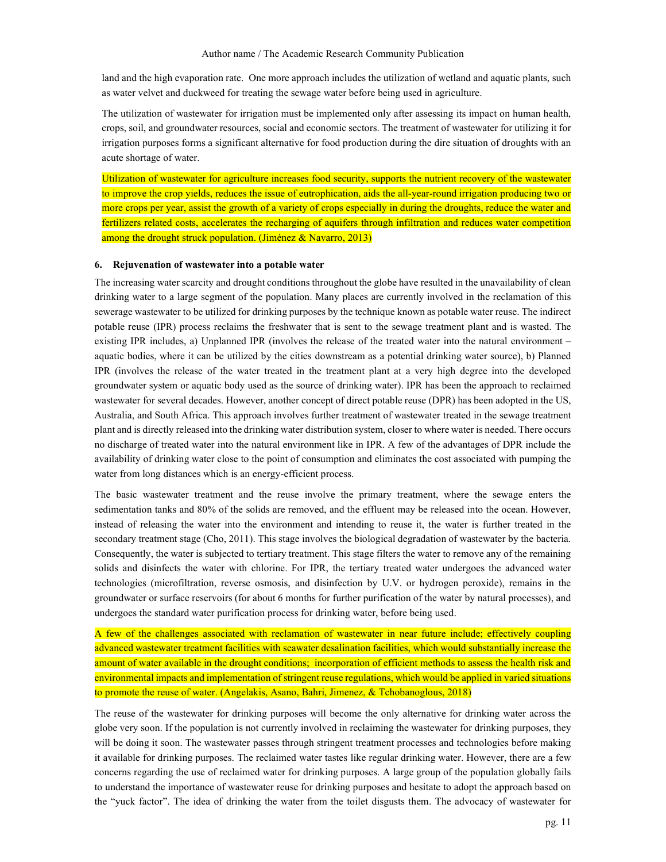land and the high evaporation rate. One more approach includes the utilization of wetland and aquatic plants, such as water velvet and duckweed for treating the sewage water before being used in agriculture.

The utilization of wastewater for irrigation must be implemented only after assessing its impact on human health, crops, soil, and groundwater resources, social and economic sectors. The treatment of wastewater for utilizing it for irrigation purposes forms a significant alternative for food production during the dire situation of droughts with an acute shortage of water.

Utilization of wastewater for agriculture increases food security, supports the nutrient recovery of the wastewater to improve the crop yields, reduces the issue of eutrophication, aids the all-year-round irrigation producing two or more crops per year, assist the growth of a variety of crops especially in during the droughts, reduce the water and fertilizers related costs, accelerates the recharging of aquifers through infiltration and reduces water competition among the drought struck population. (Jiménez & Navarro, 2013)

#### 6. Rejuvenation of wastewater into a potable water

The increasing water scarcity and drought conditions throughout the globe have resulted in the unavailability of clean drinking water to a large segment of the population. Many places are currently involved in the reclamation of this sewerage wastewater to be utilized for drinking purposes by the technique known as potable water reuse. The indirect potable reuse (IPR) process reclaims the freshwater that is sent to the sewage treatment plant and is wasted. The existing IPR includes, a) Unplanned IPR (involves the release of the treated water into the natural environment – aquatic bodies, where it can be utilized by the cities downstream as a potential drinking water source), b) Planned IPR (involves the release of the water treated in the treatment plant at a very high degree into the developed groundwater system or aquatic body used as the source of drinking water). IPR has been the approach to reclaimed wastewater for several decades. However, another concept of direct potable reuse (DPR) has been adopted in the US, Australia, and South Africa. This approach involves further treatment of wastewater treated in the sewage treatment plant and is directly released into the drinking water distribution system, closer to where water is needed. There occurs no discharge of treated water into the natural environment like in IPR. A few of the advantages of DPR include the availability of drinking water close to the point of consumption and eliminates the cost associated with pumping the water from long distances which is an energy-efficient process.

The basic wastewater treatment and the reuse involve the primary treatment, where the sewage enters the sedimentation tanks and 80% of the solids are removed, and the effluent may be released into the ocean. However, instead of releasing the water into the environment and intending to reuse it, the water is further treated in the secondary treatment stage (Cho, 2011). This stage involves the biological degradation of wastewater by the bacteria. Consequently, the water is subjected to tertiary treatment. This stage filters the water to remove any of the remaining solids and disinfects the water with chlorine. For IPR, the tertiary treated water undergoes the advanced water technologies (microfiltration, reverse osmosis, and disinfection by U.V. or hydrogen peroxide), remains in the groundwater or surface reservoirs (for about 6 months for further purification of the water by natural processes), and undergoes the standard water purification process for drinking water, before being used.

A few of the challenges associated with reclamation of wastewater in near future include; effectively coupling advanced wastewater treatment facilities with seawater desalination facilities, which would substantially increase the amount of water available in the drought conditions; incorporation of efficient methods to assess the health risk and environmental impacts and implementation of stringent reuse regulations, which would be applied in varied situations to promote the reuse of water. (Angelakis, Asano, Bahri, Jimenez, & Tchobanoglous, 2018)

The reuse of the wastewater for drinking purposes will become the only alternative for drinking water across the globe very soon. If the population is not currently involved in reclaiming the wastewater for drinking purposes, they will be doing it soon. The wastewater passes through stringent treatment processes and technologies before making it available for drinking purposes. The reclaimed water tastes like regular drinking water. However, there are a few concerns regarding the use of reclaimed water for drinking purposes. A large group of the population globally fails to understand the importance of wastewater reuse for drinking purposes and hesitate to adopt the approach based on the "yuck factor". The idea of drinking the water from the toilet disgusts them. The advocacy of wastewater for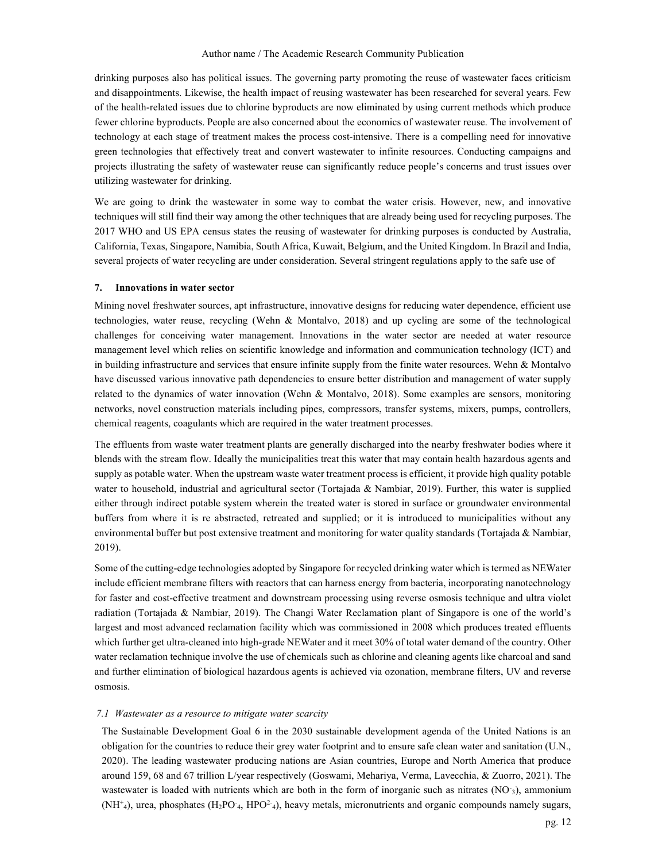drinking purposes also has political issues. The governing party promoting the reuse of wastewater faces criticism and disappointments. Likewise, the health impact of reusing wastewater has been researched for several years. Few of the health-related issues due to chlorine byproducts are now eliminated by using current methods which produce fewer chlorine byproducts. People are also concerned about the economics of wastewater reuse. The involvement of technology at each stage of treatment makes the process cost-intensive. There is a compelling need for innovative green technologies that effectively treat and convert wastewater to infinite resources. Conducting campaigns and projects illustrating the safety of wastewater reuse can significantly reduce people's concerns and trust issues over utilizing wastewater for drinking.

We are going to drink the wastewater in some way to combat the water crisis. However, new, and innovative techniques will still find their way among the other techniques that are already being used for recycling purposes. The 2017 WHO and US EPA census states the reusing of wastewater for drinking purposes is conducted by Australia, California, Texas, Singapore, Namibia, South Africa, Kuwait, Belgium, and the United Kingdom. In Brazil and India, several projects of water recycling are under consideration. Several stringent regulations apply to the safe use of

## 7. Innovations in water sector

Mining novel freshwater sources, apt infrastructure, innovative designs for reducing water dependence, efficient use technologies, water reuse, recycling (Wehn & Montalvo, 2018) and up cycling are some of the technological challenges for conceiving water management. Innovations in the water sector are needed at water resource management level which relies on scientific knowledge and information and communication technology (ICT) and in building infrastructure and services that ensure infinite supply from the finite water resources. Wehn & Montalvo have discussed various innovative path dependencies to ensure better distribution and management of water supply related to the dynamics of water innovation (Wehn & Montalvo, 2018). Some examples are sensors, monitoring networks, novel construction materials including pipes, compressors, transfer systems, mixers, pumps, controllers, chemical reagents, coagulants which are required in the water treatment processes.

The effluents from waste water treatment plants are generally discharged into the nearby freshwater bodies where it blends with the stream flow. Ideally the municipalities treat this water that may contain health hazardous agents and supply as potable water. When the upstream waste water treatment process is efficient, it provide high quality potable water to household, industrial and agricultural sector (Tortajada & Nambiar, 2019). Further, this water is supplied either through indirect potable system wherein the treated water is stored in surface or groundwater environmental buffers from where it is re abstracted, retreated and supplied; or it is introduced to municipalities without any environmental buffer but post extensive treatment and monitoring for water quality standards (Tortajada & Nambiar, 2019).

Some of the cutting-edge technologies adopted by Singapore for recycled drinking water which is termed as NEWater include efficient membrane filters with reactors that can harness energy from bacteria, incorporating nanotechnology for faster and cost-effective treatment and downstream processing using reverse osmosis technique and ultra violet radiation (Tortajada & Nambiar, 2019). The Changi Water Reclamation plant of Singapore is one of the world's largest and most advanced reclamation facility which was commissioned in 2008 which produces treated effluents which further get ultra-cleaned into high-grade NEWater and it meet 30% of total water demand of the country. Other water reclamation technique involve the use of chemicals such as chlorine and cleaning agents like charcoal and sand and further elimination of biological hazardous agents is achieved via ozonation, membrane filters, UV and reverse osmosis.

### 7.1 Wastewater as a resource to mitigate water scarcity

The Sustainable Development Goal 6 in the 2030 sustainable development agenda of the United Nations is an obligation for the countries to reduce their grey water footprint and to ensure safe clean water and sanitation (U.N., 2020). The leading wastewater producing nations are Asian countries, Europe and North America that produce around 159, 68 and 67 trillion L/year respectively (Goswami, Mehariya, Verma, Lavecchia, & Zuorro, 2021). The wastewater is loaded with nutrients which are both in the form of inorganic such as nitrates (NO<sup>-</sup>3), ammonium  $(NH^+)_4$ , urea, phosphates  $(H_2PO_{4}$ ,  $HPO_{4}^2)$ , heavy metals, micronutrients and organic compounds namely sugars,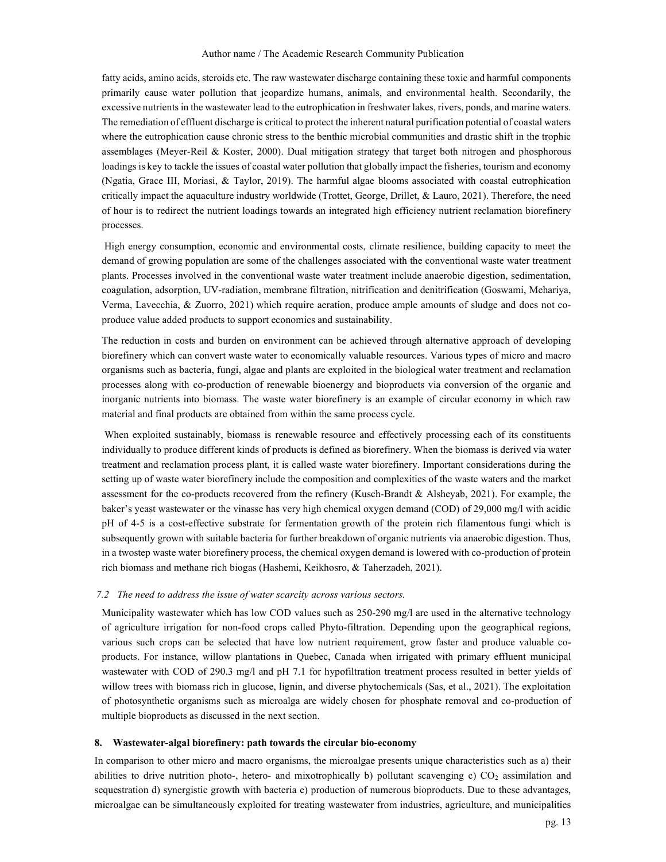fatty acids, amino acids, steroids etc. The raw wastewater discharge containing these toxic and harmful components primarily cause water pollution that jeopardize humans, animals, and environmental health. Secondarily, the excessive nutrients in the wastewater lead to the eutrophication in freshwater lakes, rivers, ponds, and marine waters. The remediation of effluent discharge is critical to protect the inherent natural purification potential of coastal waters where the eutrophication cause chronic stress to the benthic microbial communities and drastic shift in the trophic assemblages (Meyer-Reil & Koster, 2000). Dual mitigation strategy that target both nitrogen and phosphorous loadings is key to tackle the issues of coastal water pollution that globally impact the fisheries, tourism and economy (Ngatia, Grace III, Moriasi, & Taylor, 2019). The harmful algae blooms associated with coastal eutrophication critically impact the aquaculture industry worldwide (Trottet, George, Drillet, & Lauro, 2021). Therefore, the need of hour is to redirect the nutrient loadings towards an integrated high efficiency nutrient reclamation biorefinery processes.

 High energy consumption, economic and environmental costs, climate resilience, building capacity to meet the demand of growing population are some of the challenges associated with the conventional waste water treatment plants. Processes involved in the conventional waste water treatment include anaerobic digestion, sedimentation, coagulation, adsorption, UV-radiation, membrane filtration, nitrification and denitrification (Goswami, Mehariya, Verma, Lavecchia, & Zuorro, 2021) which require aeration, produce ample amounts of sludge and does not coproduce value added products to support economics and sustainability.

The reduction in costs and burden on environment can be achieved through alternative approach of developing biorefinery which can convert waste water to economically valuable resources. Various types of micro and macro organisms such as bacteria, fungi, algae and plants are exploited in the biological water treatment and reclamation processes along with co-production of renewable bioenergy and bioproducts via conversion of the organic and inorganic nutrients into biomass. The waste water biorefinery is an example of circular economy in which raw material and final products are obtained from within the same process cycle.

 When exploited sustainably, biomass is renewable resource and effectively processing each of its constituents individually to produce different kinds of products is defined as biorefinery. When the biomass is derived via water treatment and reclamation process plant, it is called waste water biorefinery. Important considerations during the setting up of waste water biorefinery include the composition and complexities of the waste waters and the market assessment for the co-products recovered from the refinery (Kusch-Brandt & Alsheyab, 2021). For example, the baker's yeast wastewater or the vinasse has very high chemical oxygen demand (COD) of 29,000 mg/l with acidic pH of 4-5 is a cost-effective substrate for fermentation growth of the protein rich filamentous fungi which is subsequently grown with suitable bacteria for further breakdown of organic nutrients via anaerobic digestion. Thus, in a twostep waste water biorefinery process, the chemical oxygen demand is lowered with co-production of protein rich biomass and methane rich biogas (Hashemi, Keikhosro, & Taherzadeh, 2021).

#### 7.2 The need to address the issue of water scarcity across various sectors.

Municipality wastewater which has low COD values such as 250-290 mg/l are used in the alternative technology of agriculture irrigation for non-food crops called Phyto-filtration. Depending upon the geographical regions, various such crops can be selected that have low nutrient requirement, grow faster and produce valuable coproducts. For instance, willow plantations in Quebec, Canada when irrigated with primary effluent municipal wastewater with COD of 290.3 mg/l and pH 7.1 for hypofiltration treatment process resulted in better yields of willow trees with biomass rich in glucose, lignin, and diverse phytochemicals (Sas, et al., 2021). The exploitation of photosynthetic organisms such as microalga are widely chosen for phosphate removal and co-production of multiple bioproducts as discussed in the next section.

#### 8. Wastewater-algal biorefinery: path towards the circular bio-economy

In comparison to other micro and macro organisms, the microalgae presents unique characteristics such as a) their abilities to drive nutrition photo-, hetero- and mixotrophically b) pollutant scavenging c)  $CO<sub>2</sub>$  assimilation and sequestration d) synergistic growth with bacteria e) production of numerous bioproducts. Due to these advantages, microalgae can be simultaneously exploited for treating wastewater from industries, agriculture, and municipalities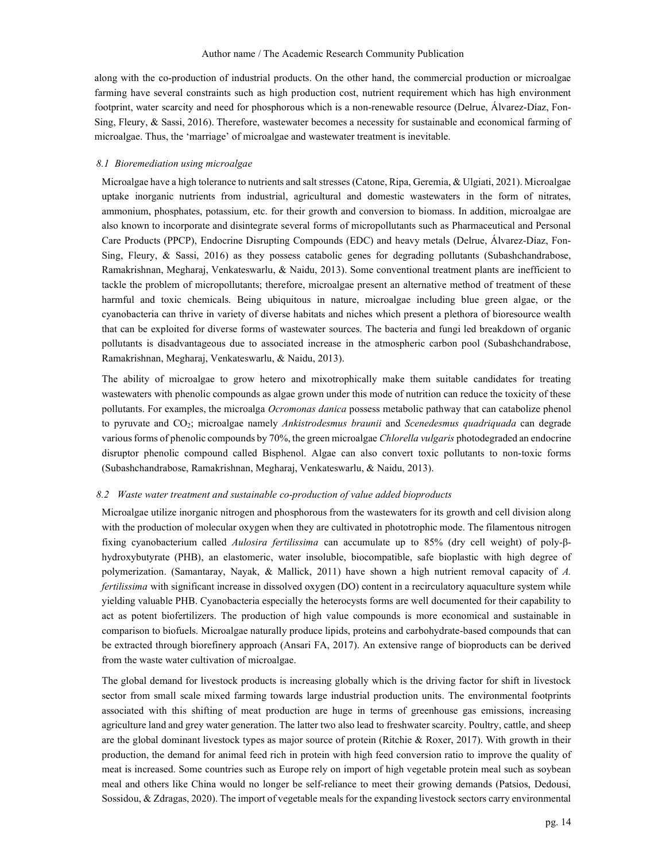along with the co-production of industrial products. On the other hand, the commercial production or microalgae farming have several constraints such as high production cost, nutrient requirement which has high environment footprint, water scarcity and need for phosphorous which is a non-renewable resource (Delrue, Álvarez-Díaz, Fon-Sing, Fleury, & Sassi, 2016). Therefore, wastewater becomes a necessity for sustainable and economical farming of microalgae. Thus, the 'marriage' of microalgae and wastewater treatment is inevitable.

#### 8.1 Bioremediation using microalgae

Microalgae have a high tolerance to nutrients and salt stresses (Catone, Ripa, Geremia, & Ulgiati, 2021). Microalgae uptake inorganic nutrients from industrial, agricultural and domestic wastewaters in the form of nitrates, ammonium, phosphates, potassium, etc. for their growth and conversion to biomass. In addition, microalgae are also known to incorporate and disintegrate several forms of micropollutants such as Pharmaceutical and Personal Care Products (PPCP), Endocrine Disrupting Compounds (EDC) and heavy metals (Delrue, Álvarez-Díaz, Fon-Sing, Fleury, & Sassi, 2016) as they possess catabolic genes for degrading pollutants (Subashchandrabose, Ramakrishnan, Megharaj, Venkateswarlu, & Naidu, 2013). Some conventional treatment plants are inefficient to tackle the problem of micropollutants; therefore, microalgae present an alternative method of treatment of these harmful and toxic chemicals. Being ubiquitous in nature, microalgae including blue green algae, or the cyanobacteria can thrive in variety of diverse habitats and niches which present a plethora of bioresource wealth that can be exploited for diverse forms of wastewater sources. The bacteria and fungi led breakdown of organic pollutants is disadvantageous due to associated increase in the atmospheric carbon pool (Subashchandrabose, Ramakrishnan, Megharaj, Venkateswarlu, & Naidu, 2013).

The ability of microalgae to grow hetero and mixotrophically make them suitable candidates for treating wastewaters with phenolic compounds as algae grown under this mode of nutrition can reduce the toxicity of these pollutants. For examples, the microalga Ocromonas danica possess metabolic pathway that can catabolize phenol to pyruvate and CO<sub>2</sub>; microalgae namely Ankistrodesmus braunii and Scenedesmus quadriquada can degrade various forms of phenolic compounds by 70%, the green microalgae Chlorella vulgaris photodegraded an endocrine disruptor phenolic compound called Bisphenol. Algae can also convert toxic pollutants to non-toxic forms (Subashchandrabose, Ramakrishnan, Megharaj, Venkateswarlu, & Naidu, 2013).

#### 8.2 Waste water treatment and sustainable co-production of value added bioproducts

Microalgae utilize inorganic nitrogen and phosphorous from the wastewaters for its growth and cell division along with the production of molecular oxygen when they are cultivated in phototrophic mode. The filamentous nitrogen fixing cyanobacterium called Aulosira fertilissima can accumulate up to 85% (dry cell weight) of poly-βhydroxybutyrate (PHB), an elastomeric, water insoluble, biocompatible, safe bioplastic with high degree of polymerization. (Samantaray, Nayak, & Mallick, 2011) have shown a high nutrient removal capacity of A. fertilissima with significant increase in dissolved oxygen (DO) content in a recirculatory aquaculture system while yielding valuable PHB. Cyanobacteria especially the heterocysts forms are well documented for their capability to act as potent biofertilizers. The production of high value compounds is more economical and sustainable in comparison to biofuels. Microalgae naturally produce lipids, proteins and carbohydrate-based compounds that can be extracted through biorefinery approach (Ansari FA, 2017). An extensive range of bioproducts can be derived from the waste water cultivation of microalgae.

The global demand for livestock products is increasing globally which is the driving factor for shift in livestock sector from small scale mixed farming towards large industrial production units. The environmental footprints associated with this shifting of meat production are huge in terms of greenhouse gas emissions, increasing agriculture land and grey water generation. The latter two also lead to freshwater scarcity. Poultry, cattle, and sheep are the global dominant livestock types as major source of protein (Ritchie & Roxer, 2017). With growth in their production, the demand for animal feed rich in protein with high feed conversion ratio to improve the quality of meat is increased. Some countries such as Europe rely on import of high vegetable protein meal such as soybean meal and others like China would no longer be self-reliance to meet their growing demands (Patsios, Dedousi, Sossidou, & Zdragas, 2020). The import of vegetable meals for the expanding livestock sectors carry environmental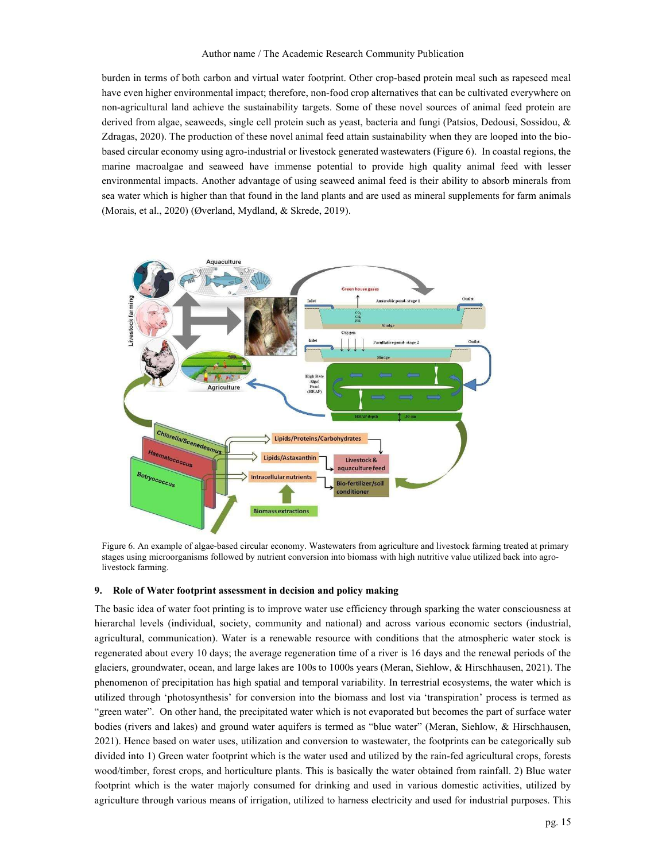burden in terms of both carbon and virtual water footprint. Other crop-based protein meal such as rapeseed meal have even higher environmental impact; therefore, non-food crop alternatives that can be cultivated everywhere on non-agricultural land achieve the sustainability targets. Some of these novel sources of animal feed protein are derived from algae, seaweeds, single cell protein such as yeast, bacteria and fungi (Patsios, Dedousi, Sossidou, & Zdragas, 2020). The production of these novel animal feed attain sustainability when they are looped into the biobased circular economy using agro-industrial or livestock generated wastewaters (Figure 6). In coastal regions, the marine macroalgae and seaweed have immense potential to provide high quality animal feed with lesser environmental impacts. Another advantage of using seaweed animal feed is their ability to absorb minerals from sea water which is higher than that found in the land plants and are used as mineral supplements for farm animals (Morais, et al., 2020) (Øverland, Mydland, & Skrede, 2019).



Figure 6. An example of algae-based circular economy. Wastewaters from agriculture and livestock farming treated at primary stages using microorganisms followed by nutrient conversion into biomass with high nutritive value utilized back into agrolivestock farming.

### 9. Role of Water footprint assessment in decision and policy making

The basic idea of water foot printing is to improve water use efficiency through sparking the water consciousness at hierarchal levels (individual, society, community and national) and across various economic sectors (industrial, agricultural, communication). Water is a renewable resource with conditions that the atmospheric water stock is regenerated about every 10 days; the average regeneration time of a river is 16 days and the renewal periods of the glaciers, groundwater, ocean, and large lakes are 100s to 1000s years (Meran, Siehlow, & Hirschhausen, 2021). The phenomenon of precipitation has high spatial and temporal variability. In terrestrial ecosystems, the water which is utilized through 'photosynthesis' for conversion into the biomass and lost via 'transpiration' process is termed as "green water". On other hand, the precipitated water which is not evaporated but becomes the part of surface water bodies (rivers and lakes) and ground water aquifers is termed as "blue water" (Meran, Siehlow, & Hirschhausen, 2021). Hence based on water uses, utilization and conversion to wastewater, the footprints can be categorically sub divided into 1) Green water footprint which is the water used and utilized by the rain-fed agricultural crops, forests wood/timber, forest crops, and horticulture plants. This is basically the water obtained from rainfall. 2) Blue water footprint which is the water majorly consumed for drinking and used in various domestic activities, utilized by agriculture through various means of irrigation, utilized to harness electricity and used for industrial purposes. This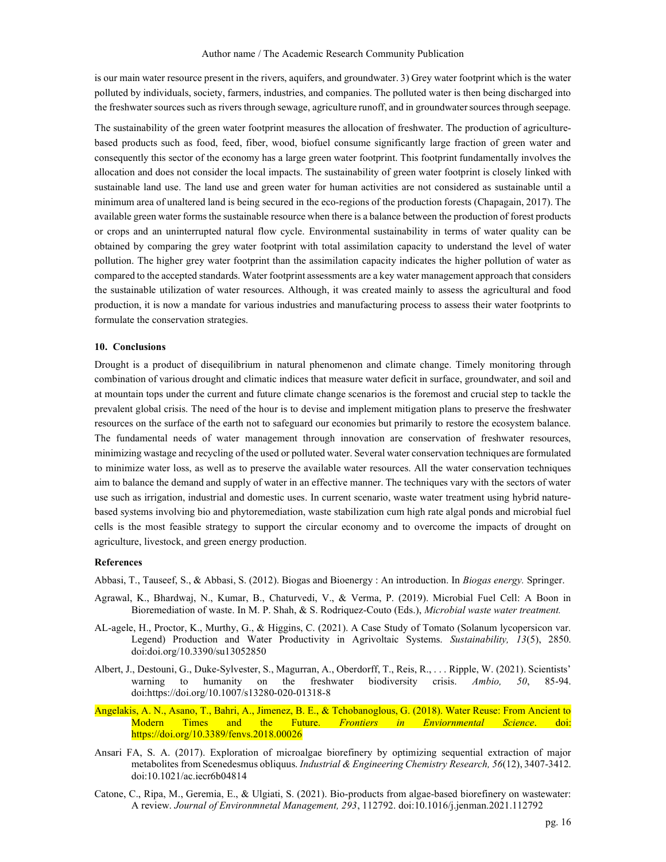is our main water resource present in the rivers, aquifers, and groundwater. 3) Grey water footprint which is the water polluted by individuals, society, farmers, industries, and companies. The polluted water is then being discharged into the freshwater sources such as rivers through sewage, agriculture runoff, and in groundwater sources through seepage.

The sustainability of the green water footprint measures the allocation of freshwater. The production of agriculturebased products such as food, feed, fiber, wood, biofuel consume significantly large fraction of green water and consequently this sector of the economy has a large green water footprint. This footprint fundamentally involves the allocation and does not consider the local impacts. The sustainability of green water footprint is closely linked with sustainable land use. The land use and green water for human activities are not considered as sustainable until a minimum area of unaltered land is being secured in the eco-regions of the production forests (Chapagain, 2017). The available green water forms the sustainable resource when there is a balance between the production of forest products or crops and an uninterrupted natural flow cycle. Environmental sustainability in terms of water quality can be obtained by comparing the grey water footprint with total assimilation capacity to understand the level of water pollution. The higher grey water footprint than the assimilation capacity indicates the higher pollution of water as compared to the accepted standards. Water footprint assessments are a key water management approach that considers the sustainable utilization of water resources. Although, it was created mainly to assess the agricultural and food production, it is now a mandate for various industries and manufacturing process to assess their water footprints to formulate the conservation strategies.

#### 10. Conclusions

Drought is a product of disequilibrium in natural phenomenon and climate change. Timely monitoring through combination of various drought and climatic indices that measure water deficit in surface, groundwater, and soil and at mountain tops under the current and future climate change scenarios is the foremost and crucial step to tackle the prevalent global crisis. The need of the hour is to devise and implement mitigation plans to preserve the freshwater resources on the surface of the earth not to safeguard our economies but primarily to restore the ecosystem balance. The fundamental needs of water management through innovation are conservation of freshwater resources, minimizing wastage and recycling of the used or polluted water. Several water conservation techniques are formulated to minimize water loss, as well as to preserve the available water resources. All the water conservation techniques aim to balance the demand and supply of water in an effective manner. The techniques vary with the sectors of water use such as irrigation, industrial and domestic uses. In current scenario, waste water treatment using hybrid naturebased systems involving bio and phytoremediation, waste stabilization cum high rate algal ponds and microbial fuel cells is the most feasible strategy to support the circular economy and to overcome the impacts of drought on agriculture, livestock, and green energy production.

### References

Abbasi, T., Tauseef, S., & Abbasi, S. (2012). Biogas and Bioenergy : An introduction. In Biogas energy. Springer.

- Agrawal, K., Bhardwaj, N., Kumar, B., Chaturvedi, V., & Verma, P. (2019). Microbial Fuel Cell: A Boon in Bioremediation of waste. In M. P. Shah, & S. Rodriquez-Couto (Eds.), Microbial waste water treatment.
- AL-agele, H., Proctor, K., Murthy, G., & Higgins, C. (2021). A Case Study of Tomato (Solanum lycopersicon var. Legend) Production and Water Productivity in Agrivoltaic Systems. Sustainability, 13(5), 2850. doi:doi.org/10.3390/su13052850
- Albert, J., Destouni, G., Duke-Sylvester, S., Magurran, A., Oberdorff, T., Reis, R., . . . Ripple, W. (2021). Scientists' warning to humanity on the freshwater biodiversity crisis. Ambio, 50, 85-94. doi:https://doi.org/10.1007/s13280-020-01318-8
- Angelakis, A. N., Asano, T., Bahri, A., Jimenez, B. E., & Tchobanoglous, G. (2018). Water Reuse: From Ancient to Modern Times and the Future. *Frontiers in Enviornmental Science*. doi: https://doi.org/10.3389/fenvs.2018.00026
- Ansari FA, S. A. (2017). Exploration of microalgae biorefinery by optimizing sequential extraction of major metabolites from Scenedesmus obliquus. Industrial & Engineering Chemistry Research, 56(12), 3407-3412. doi:10.1021/ac.iecr6b04814
- Catone, C., Ripa, M., Geremia, E., & Ulgiati, S. (2021). Bio-products from algae-based biorefinery on wastewater: A review. Journal of Environmnetal Management, 293, 112792. doi:10.1016/j.jenman.2021.112792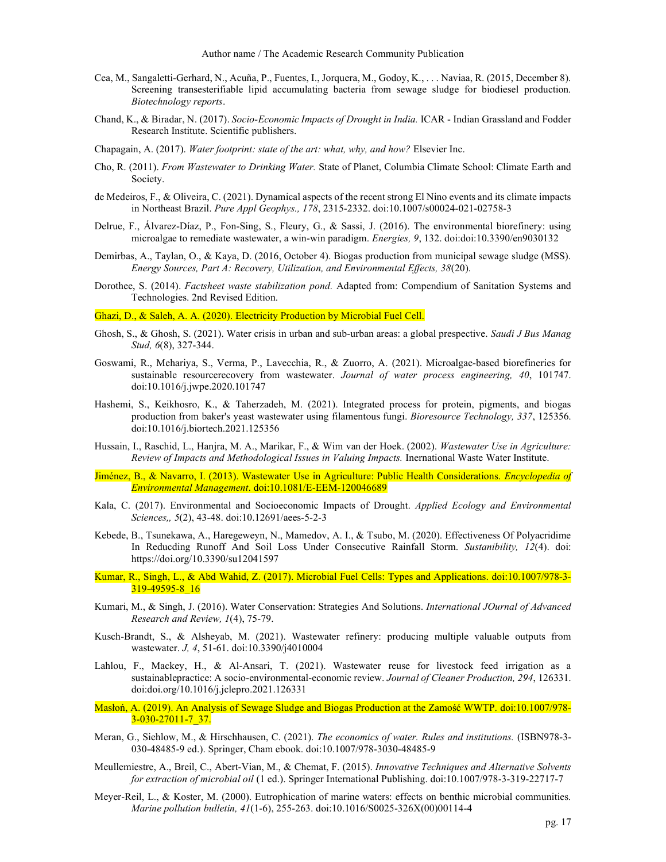- Cea, M., Sangaletti-Gerhard, N., Acuña, P., Fuentes, I., Jorquera, M., Godoy, K., . . . Naviaa, R. (2015, December 8). Screening transesterifiable lipid accumulating bacteria from sewage sludge for biodiesel production. Biotechnology reports.
- Chand, K., & Biradar, N. (2017). Socio-Economic Impacts of Drought in India. ICAR Indian Grassland and Fodder Research Institute. Scientific publishers.
- Chapagain, A. (2017). Water footprint: state of the art: what, why, and how? Elsevier Inc.
- Cho, R. (2011). From Wastewater to Drinking Water. State of Planet, Columbia Climate School: Climate Earth and Society.
- de Medeiros, F., & Oliveira, C. (2021). Dynamical aspects of the recent strong El Nino events and its climate impacts in Northeast Brazil. Pure Appl Geophys., 178, 2315-2332. doi:10.1007/s00024-021-02758-3
- Delrue, F., Álvarez-Díaz, P., Fon-Sing, S., Fleury, G., & Sassi, J. (2016). The environmental biorefinery: using microalgae to remediate wastewater, a win-win paradigm. Energies, 9, 132. doi:doi:10.3390/en9030132
- Demirbas, A., Taylan, O., & Kaya, D. (2016, October 4). Biogas production from municipal sewage sludge (MSS). Energy Sources, Part A: Recovery, Utilization, and Environmental Effects, 38(20).
- Dorothee, S. (2014). Factsheet waste stabilization pond. Adapted from: Compendium of Sanitation Systems and Technologies. 2nd Revised Edition.

Ghazi, D., & Saleh, A. A. (2020). Electricity Production by Microbial Fuel Cell.

- Ghosh, S., & Ghosh, S. (2021). Water crisis in urban and sub-urban areas: a global prespective. Saudi J Bus Manag Stud, 6(8), 327-344.
- Goswami, R., Mehariya, S., Verma, P., Lavecchia, R., & Zuorro, A. (2021). Microalgae-based biorefineries for sustainable resourcerecovery from wastewater. Journal of water process engineering, 40, 101747. doi:10.1016/j.jwpe.2020.101747
- Hashemi, S., Keikhosro, K., & Taherzadeh, M. (2021). Integrated process for protein, pigments, and biogas production from baker's yeast wastewater using filamentous fungi. Bioresource Technology, 337, 125356. doi:10.1016/j.biortech.2021.125356
- Hussain, I., Raschid, L., Hanjra, M. A., Marikar, F., & Wim van der Hoek. (2002). Wastewater Use in Agriculture: Review of Impacts and Methodological Issues in Valuing Impacts. Inernational Waste Water Institute.
- Jiménez, B., & Navarro, I. (2013). Wastewater Use in Agriculture: Public Health Considerations. Encyclopedia of Environmental Management. doi:10.1081/E-EEM-120046689
- Kala, C. (2017). Environmental and Socioeconomic Impacts of Drought. Applied Ecology and Environmental Sciences,, 5(2), 43-48. doi:10.12691/aees-5-2-3
- Kebede, B., Tsunekawa, A., Haregeweyn, N., Mamedov, A. I., & Tsubo, M. (2020). Effectiveness Of Polyacridime In Reducding Runoff And Soil Loss Under Consecutive Rainfall Storm. Sustanibility, 12(4). doi: https://doi.org/10.3390/su12041597
- Kumar, R., Singh, L., & Abd Wahid, Z. (2017). Microbial Fuel Cells: Types and Applications. doi:10.1007/978-3- 319-49595-8<sup>16</sup>
- Kumari, M., & Singh, J. (2016). Water Conservation: Strategies And Solutions. International JOurnal of Advanced Research and Review, 1(4), 75-79.
- Kusch-Brandt, S., & Alsheyab, M. (2021). Wastewater refinery: producing multiple valuable outputs from wastewater. J, 4, 51-61. doi:10.3390/j4010004
- Lahlou, F., Mackey, H., & Al-Ansari, T. (2021). Wastewater reuse for livestock feed irrigation as a sustainablepractice: A socio-environmental-economic review. Journal of Cleaner Production, 294, 126331. doi:doi.org/10.1016/j.jclepro.2021.126331
- Masłoń, A. (2019). An Analysis of Sewage Sludge and Biogas Production at the Zamość WWTP. doi:10.1007/978- 3-030-27011-7\_37.
- Meran, G., Siehlow, M., & Hirschhausen, C. (2021). The economics of water. Rules and institutions. (ISBN978-3- 030-48485-9 ed.). Springer, Cham ebook. doi:10.1007/978-3030-48485-9
- Meullemiestre, A., Breil, C., Abert-Vian, M., & Chemat, F. (2015). Innovative Techniques and Alternative Solvents for extraction of microbial oil (1 ed.). Springer International Publishing. doi:10.1007/978-3-319-22717-7
- Meyer-Reil, L., & Koster, M. (2000). Eutrophication of marine waters: effects on benthic microbial communities. Marine pollution bulletin, 41(1-6), 255-263. doi:10.1016/S0025-326X(00)00114-4